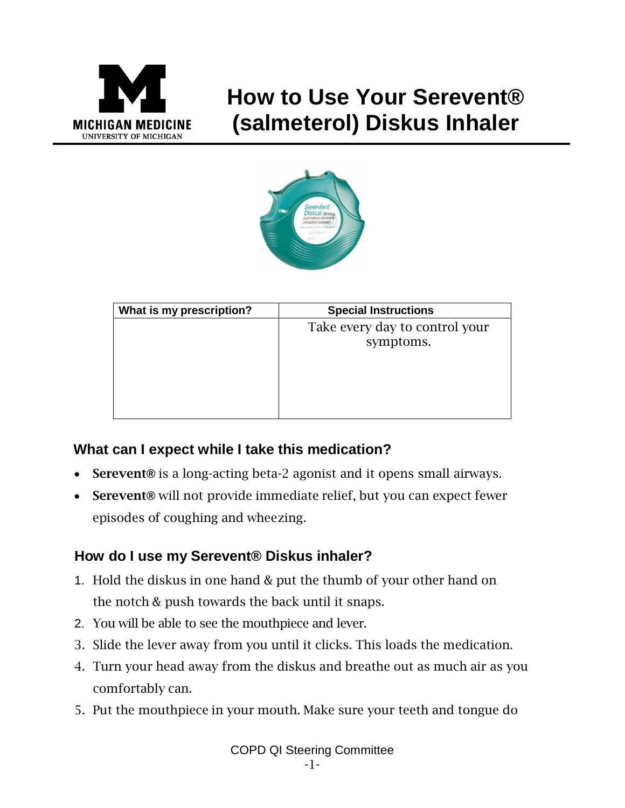

## **How to Use Your Serevent® (salmeterol) Diskus Inhaler**



| What is my prescription? | <b>Special Instructions</b>                 |
|--------------------------|---------------------------------------------|
|                          | Take every day to control your<br>symptoms. |
|                          |                                             |

## **What can I expect while I take this medication?**

- Serevent**®** is a long-acting beta-2 agonist and it opens small airways.
- Serevent**®** will not provide immediate relief, but you can expect fewer episodes of coughing and wheezing.

## **How do I use my Serevent® Diskus inhaler?**

- 1. Hold the diskus in one hand & put the thumb of your other hand on the notch & push towards the back until it snaps.
- 2. You will be able to see the mouthpiece and lever.
- 3. Slide the lever away from you until it clicks. This loads the medication.
- 4. Turn your head away from the diskus and breathe out as much air as you comfortably can.
- 5. Put the mouthpiece in your mouth. Make sure your teeth and tongue do